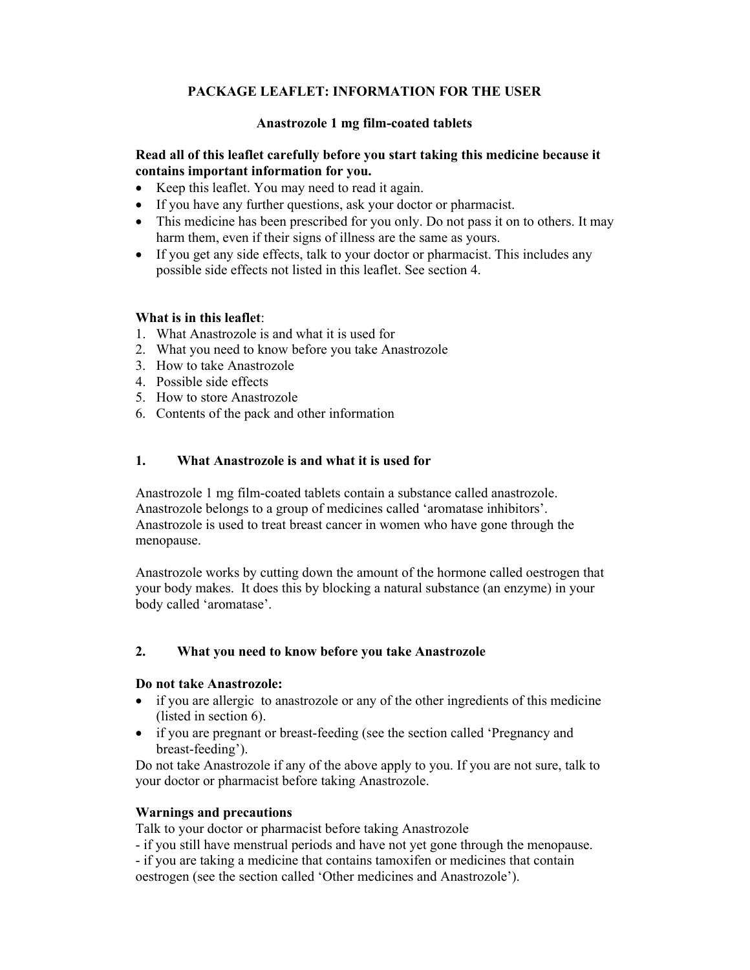# **PACKAGE LEAFLET: INFORMATION FOR THE USER**

#### **Anastrozole 1 mg film-coated tablets**

### **Read all of this leaflet carefully before you start taking this medicine because it contains important information for you.**

- Keep this leaflet. You may need to read it again.
- If you have any further questions, ask your doctor or pharmacist.
- This medicine has been prescribed for you only. Do not pass it on to others. It may harm them, even if their signs of illness are the same as yours.
- If you get any side effects, talk to your doctor or pharmacist. This includes any possible side effects not listed in this leaflet. See section 4.

#### **What is in this leaflet**:

- 1. What Anastrozole is and what it is used for
- 2. What you need to know before you take Anastrozole
- 3. How to take Anastrozole
- 4. Possible side effects
- 5. How to store Anastrozole
- 6. Contents of the pack and other information

## **1. What Anastrozole is and what it is used for**

Anastrozole 1 mg film-coated tablets contain a substance called anastrozole. Anastrozole belongs to a group of medicines called 'aromatase inhibitors'. Anastrozole is used to treat breast cancer in women who have gone through the menopause.

Anastrozole works by cutting down the amount of the hormone called oestrogen that your body makes. It does this by blocking a natural substance (an enzyme) in your body called 'aromatase'.

#### **2. What you need to know before you take Anastrozole**

#### **Do not take Anastrozole:**

- if you are allergic to anastrozole or any of the other ingredients of this medicine (listed in section 6).
- if you are pregnant or breast-feeding (see the section called 'Pregnancy and breast-feeding').

Do not take Anastrozole if any of the above apply to you. If you are not sure, talk to your doctor or pharmacist before taking Anastrozole.

#### **Warnings and precautions**

Talk to your doctor or pharmacist before taking Anastrozole

- if you still have menstrual periods and have not yet gone through the menopause.

- if you are taking a medicine that contains tamoxifen or medicines that contain oestrogen (see the section called 'Other medicines and Anastrozole').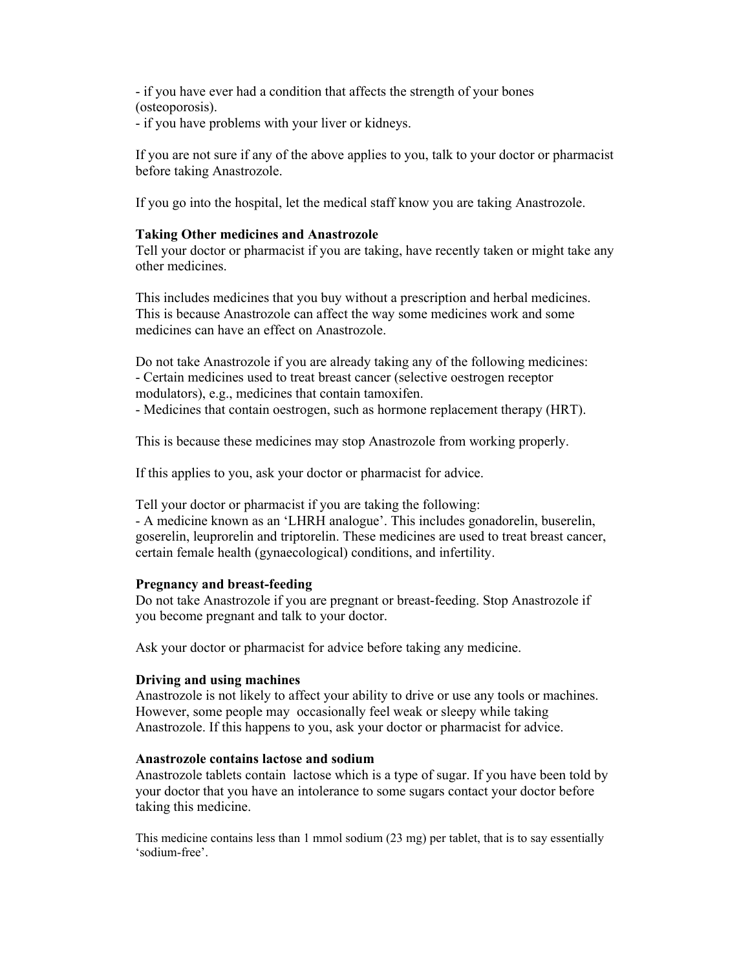- if you have ever had a condition that affects the strength of your bones (osteoporosis).

- if you have problems with your liver or kidneys.

If you are not sure if any of the above applies to you, talk to your doctor or pharmacist before taking Anastrozole.

If you go into the hospital, let the medical staff know you are taking Anastrozole.

### **Taking Other medicines and Anastrozole**

Tell your doctor or pharmacist if you are taking, have recently taken or might take any other medicines.

This includes medicines that you buy without a prescription and herbal medicines. This is because Anastrozole can affect the way some medicines work and some medicines can have an effect on Anastrozole.

Do not take Anastrozole if you are already taking any of the following medicines: - Certain medicines used to treat breast cancer (selective oestrogen receptor modulators), e.g., medicines that contain tamoxifen.

- Medicines that contain oestrogen, such as hormone replacement therapy (HRT).

This is because these medicines may stop Anastrozole from working properly.

If this applies to you, ask your doctor or pharmacist for advice.

Tell your doctor or pharmacist if you are taking the following:

- A medicine known as an 'LHRH analogue'. This includes gonadorelin, buserelin, goserelin, leuprorelin and triptorelin. These medicines are used to treat breast cancer, certain female health (gynaecological) conditions, and infertility.

#### **Pregnancy and breast-feeding**

Do not take Anastrozole if you are pregnant or breast-feeding. Stop Anastrozole if you become pregnant and talk to your doctor.

Ask your doctor or pharmacist for advice before taking any medicine.

#### **Driving and using machines**

Anastrozole is not likely to affect your ability to drive or use any tools or machines. However, some people may occasionally feel weak or sleepy while taking Anastrozole. If this happens to you, ask your doctor or pharmacist for advice.

#### **Anastrozole contains lactose and sodium**

Anastrozole tablets contain lactose which is a type of sugar. If you have been told by your doctor that you have an intolerance to some sugars contact your doctor before taking this medicine.

This medicine contains less than 1 mmol sodium (23 mg) per tablet, that is to say essentially 'sodium-free'.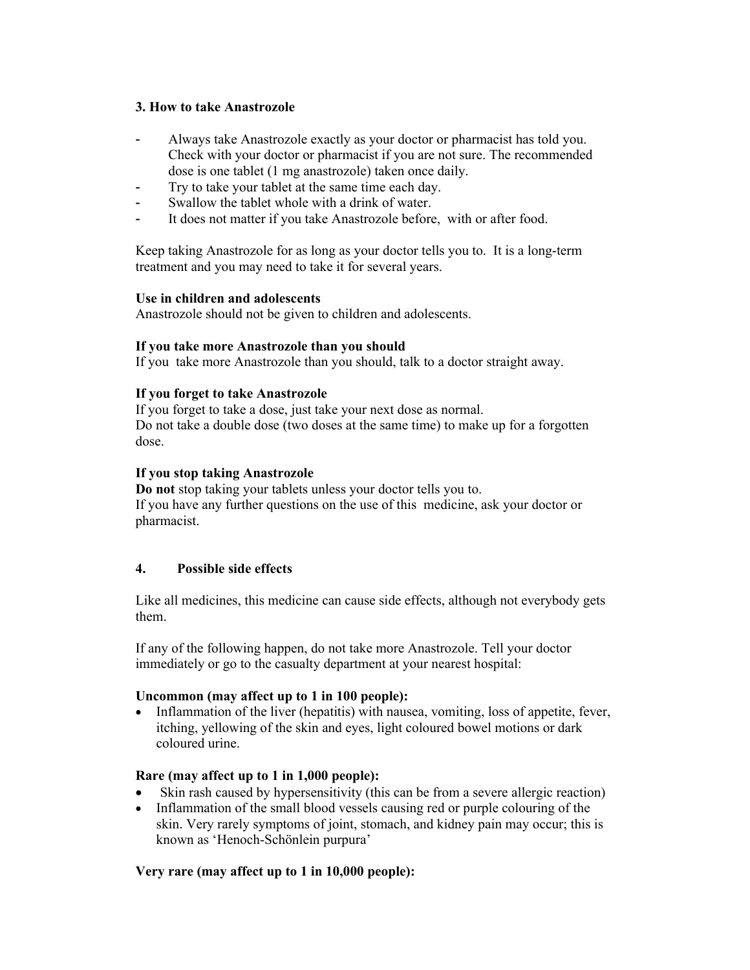## **3. How to take Anastrozole**

- Always take Anastrozole exactly as your doctor or pharmacist has told you. Check with your doctor or pharmacist if you are not sure. The recommended dose is one tablet (1 mg anastrozole) taken once daily.
- Try to take your tablet at the same time each day.
- Swallow the tablet whole with a drink of water.
- It does not matter if you take Anastrozole before, with or after food.

Keep taking Anastrozole for as long as your doctor tells you to. It is a long-term treatment and you may need to take it for several years.

#### **Use in children and adolescents**

Anastrozole should not be given to children and adolescents.

#### **If you take more Anastrozole than you should**

If you take more Anastrozole than you should, talk to a doctor straight away.

#### **If you forget to take Anastrozole**

If you forget to take a dose, just take your next dose as normal. Do not take a double dose (two doses at the same time) to make up for a forgotten dose.

#### **If you stop taking Anastrozole**

**Do not** stop taking your tablets unless your doctor tells you to. If you have any further questions on the use of this medicine, ask your doctor or pharmacist.

#### **4. Possible side effects**

Like all medicines, this medicine can cause side effects, although not everybody gets them.

If any of the following happen, do not take more Anastrozole. Tell your doctor immediately or go to the casualty department at your nearest hospital:

#### **Uncommon (may affect up to 1 in 100 people):**

• Inflammation of the liver (hepatitis) with nausea, vomiting, loss of appetite, fever, itching, yellowing of the skin and eyes, light coloured bowel motions or dark coloured urine.

#### **Rare (may affect up to 1 in 1,000 people):**

- Skin rash caused by hypersensitivity (this can be from a severe allergic reaction)
- Inflammation of the small blood vessels causing red or purple colouring of the skin. Very rarely symptoms of joint, stomach, and kidney pain may occur; this is known as 'Henoch-Schönlein purpura'

#### **Very rare (may affect up to 1 in 10,000 people):**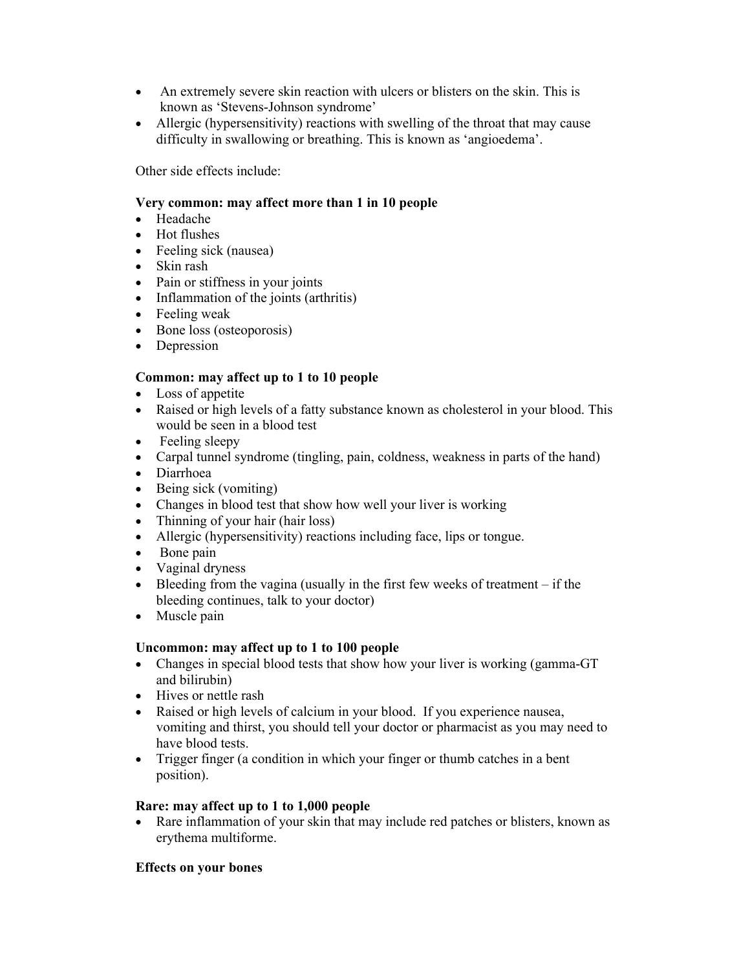- An extremely severe skin reaction with ulcers or blisters on the skin. This is known as 'Stevens-Johnson syndrome'
- Allergic (hypersensitivity) reactions with swelling of the throat that may cause difficulty in swallowing or breathing. This is known as 'angioedema'.

Other side effects include:

## **Very common: may affect more than 1 in 10 people**

- Headache
- Hot flushes
- Feeling sick (nausea)
- Skin rash
- Pain or stiffness in your joints
- Inflammation of the joints (arthritis)
- Feeling weak
- Bone loss (osteoporosis)
- Depression

# **Common: may affect up to 1 to 10 people**

- Loss of appetite
- Raised or high levels of a fatty substance known as cholesterol in your blood. This would be seen in a blood test
- Feeling sleepy
- Carpal tunnel syndrome (tingling, pain, coldness, weakness in parts of the hand)
- Diarrhoea
- $\bullet$  Being sick (vomiting)
- Changes in blood test that show how well your liver is working
- Thinning of your hair (hair loss)
- Allergic (hypersensitivity) reactions including face, lips or tongue.
- Bone pain
- Vaginal dryness
- Bleeding from the vagina (usually in the first few weeks of treatment  $-$  if the bleeding continues, talk to your doctor)
- Muscle pain

# **Uncommon: may affect up to 1 to 100 people**

- Changes in special blood tests that show how your liver is working (gamma-GT and bilirubin)
- Hives or nettle rash
- Raised or high levels of calcium in your blood. If you experience nausea, vomiting and thirst, you should tell your doctor or pharmacist as you may need to have blood tests.
- Trigger finger (a condition in which your finger or thumb catches in a bent position).

# **Rare: may affect up to 1 to 1,000 people**

 Rare inflammation of your skin that may include red patches or blisters, known as erythema multiforme.

#### **Effects on your bones**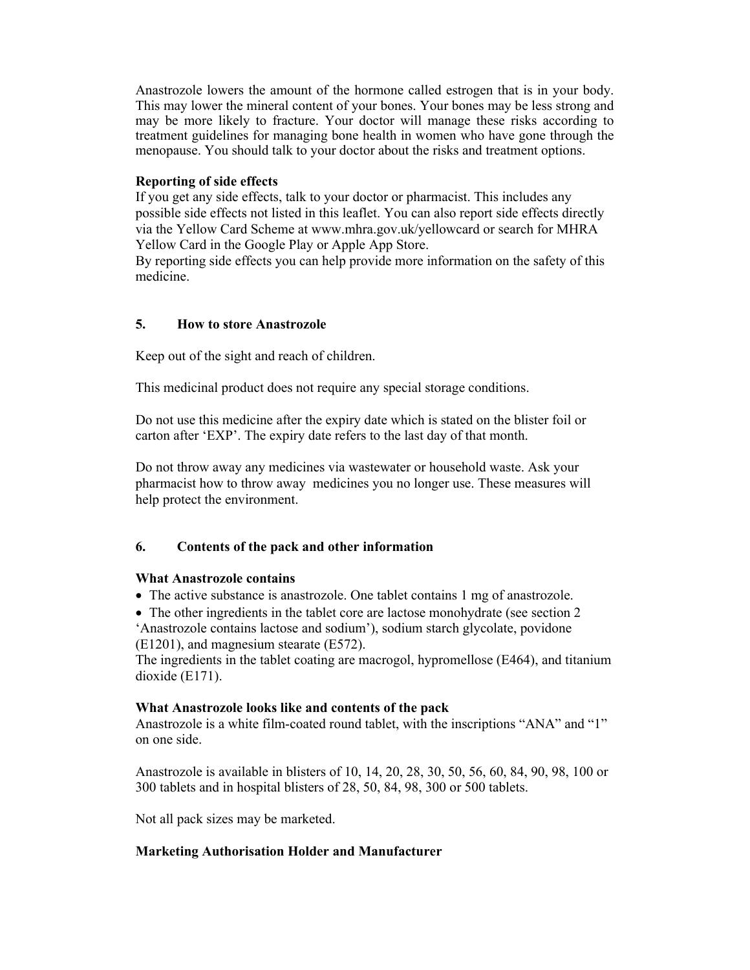Anastrozole lowers the amount of the hormone called estrogen that is in your body. This may lower the mineral content of your bones. Your bones may be less strong and may be more likely to fracture. Your doctor will manage these risks according to treatment guidelines for managing bone health in women who have gone through the menopause. You should talk to your doctor about the risks and treatment options.

## **Reporting of side effects**

If you get any side effects, talk to your doctor or pharmacist. This includes any possible side effects not listed in this leaflet. You can also report side effects directly via the Yellow Card Scheme at www.mhra.gov.uk/yellowcard or search for MHRA Yellow Card in the Google Play or Apple App Store.

By reporting side effects you can help provide more information on the safety of this medicine.

## **5. How to store Anastrozole**

Keep out of the sight and reach of children.

This medicinal product does not require any special storage conditions.

Do not use this medicine after the expiry date which is stated on the blister foil or carton after 'EXP'. The expiry date refers to the last day of that month.

Do not throw away any medicines via wastewater or household waste. Ask your pharmacist how to throw away medicines you no longer use. These measures will help protect the environment.

# **6. Contents of the pack and other information**

#### **What Anastrozole contains**

• The active substance is anastrozole. One tablet contains 1 mg of anastrozole.

• The other ingredients in the tablet core are lactose monohydrate (see section 2 'Anastrozole contains lactose and sodium'), sodium starch glycolate, povidone (E1201), and magnesium stearate (E572).

The ingredients in the tablet coating are macrogol, hypromellose (E464), and titanium dioxide (E171).

#### **What Anastrozole looks like and contents of the pack**

Anastrozole is a white film-coated round tablet, with the inscriptions "ANA" and "1" on one side.

Anastrozole is available in blisters of 10, 14, 20, 28, 30, 50, 56, 60, 84, 90, 98, 100 or 300 tablets and in hospital blisters of 28, 50, 84, 98, 300 or 500 tablets.

Not all pack sizes may be marketed.

#### **Marketing Authorisation Holder and Manufacturer**